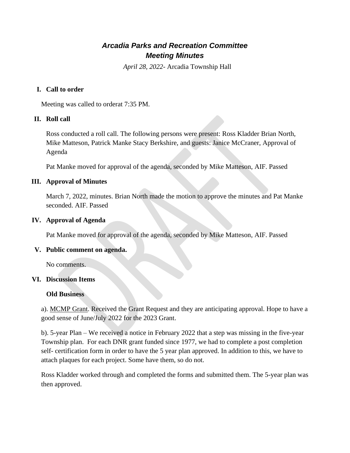# *Arcadia Parks and Recreation Committee Meeting Minutes*

*April 28, 2022*- Arcadia Township Hall

## **I. Call to order**

Meeting was called to orderat 7:35 PM.

### **II. Roll call**

Ross conducted a roll call. The following persons were present: Ross Kladder Brian North, Mike Matteson, Patrick Manke Stacy Berkshire, and guests: Janice McCraner, Approval of Agenda

Pat Manke moved for approval of the agenda, seconded by Mike Matteson, AIF. Passed

## **III. Approval of Minutes**

March 7, 2022, minutes. Brian North made the motion to approve the minutes and Pat Manke seconded. AIF. Passed

#### **IV. Approval of Agenda**

Pat Manke moved for approval of the agenda, seconded by Mike Matteson, AIF. Passed

#### **V. Public comment on agenda.**

No comments.

#### **VI. Discussion Items**

#### **Old Business**

a). MCMP Grant. Received the Grant Request and they are anticipating approval. Hope to have a good sense of June/July 2022 for the 2023 Grant.

b). 5-year Plan – We received a notice in February 2022 that a step was missing in the five-year Township plan. For each DNR grant funded since 1977, we had to complete a post completion self- certification form in order to have the 5 year plan approved. In addition to this, we have to attach plaques for each project. Some have them, so do not.

Ross Kladder worked through and completed the forms and submitted them. The 5-year plan was then approved.